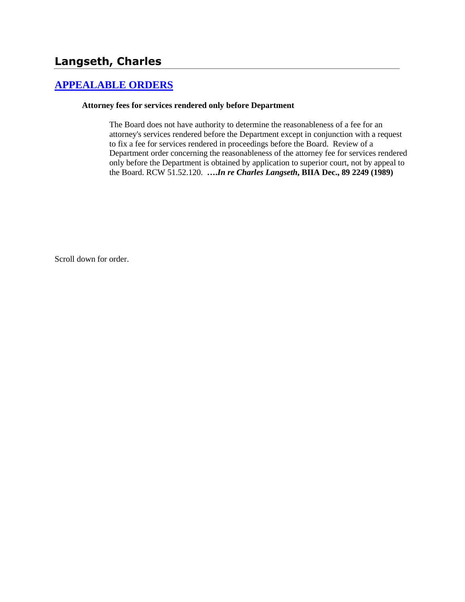# **Langseth, Charles**

## **[APPEALABLE ORDERS](http://www.biia.wa.gov/SDSubjectIndex.html#APPEALABLE_ORDERS)**

### **Attorney fees for services rendered only before Department**

The Board does not have authority to determine the reasonableness of a fee for an attorney's services rendered before the Department except in conjunction with a request to fix a fee for services rendered in proceedings before the Board. Review of a Department order concerning the reasonableness of the attorney fee for services rendered only before the Department is obtained by application to superior court, not by appeal to the Board. RCW 51.52.120. **….***In re Charles Langseth***, BIIA Dec., 89 2249 (1989)**

Scroll down for order.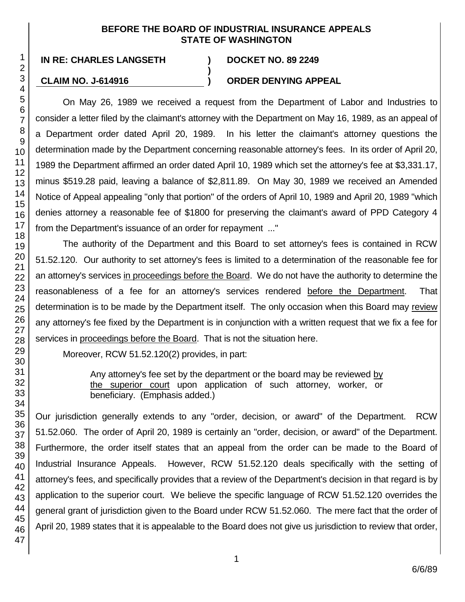### **BEFORE THE BOARD OF INDUSTRIAL INSURANCE APPEALS STATE OF WASHINGTON**

**)**

## **CLAIM NO. J-614916 ) ORDER DENYING APPEAL**

On May 26, 1989 we received a request from the Department of Labor and Industries to consider a letter filed by the claimant's attorney with the Department on May 16, 1989, as an appeal of a Department order dated April 20, 1989. In his letter the claimant's attorney questions the determination made by the Department concerning reasonable attorney's fees. In its order of April 20, 1989 the Department affirmed an order dated April 10, 1989 which set the attorney's fee at \$3,331.17, minus \$519.28 paid, leaving a balance of \$2,811.89. On May 30, 1989 we received an Amended Notice of Appeal appealing "only that portion" of the orders of April 10, 1989 and April 20, 1989 "which denies attorney a reasonable fee of \$1800 for preserving the claimant's award of PPD Category 4 from the Department's issuance of an order for repayment ..."

The authority of the Department and this Board to set attorney's fees is contained in RCW 51.52.120. Our authority to set attorney's fees is limited to a determination of the reasonable fee for an attorney's services in proceedings before the Board. We do not have the authority to determine the reasonableness of a fee for an attorney's services rendered before the Department. That determination is to be made by the Department itself. The only occasion when this Board may review any attorney's fee fixed by the Department is in conjunction with a written request that we fix a fee for services in proceedings before the Board. That is not the situation here.

Moreover, RCW 51.52.120(2) provides, in part:

Any attorney's fee set by the department or the board may be reviewed by the superior court upon application of such attorney, worker, or beneficiary. (Emphasis added.)

Our jurisdiction generally extends to any "order, decision, or award" of the Department. RCW 51.52.060. The order of April 20, 1989 is certainly an "order, decision, or award" of the Department. Furthermore, the order itself states that an appeal from the order can be made to the Board of Industrial Insurance Appeals. However, RCW 51.52.120 deals specifically with the setting of attorney's fees, and specifically provides that a review of the Department's decision in that regard is by application to the superior court. We believe the specific language of RCW 51.52.120 overrides the general grant of jurisdiction given to the Board under RCW 51.52.060. The mere fact that the order of April 20, 1989 states that it is appealable to the Board does not give us jurisdiction to review that order,